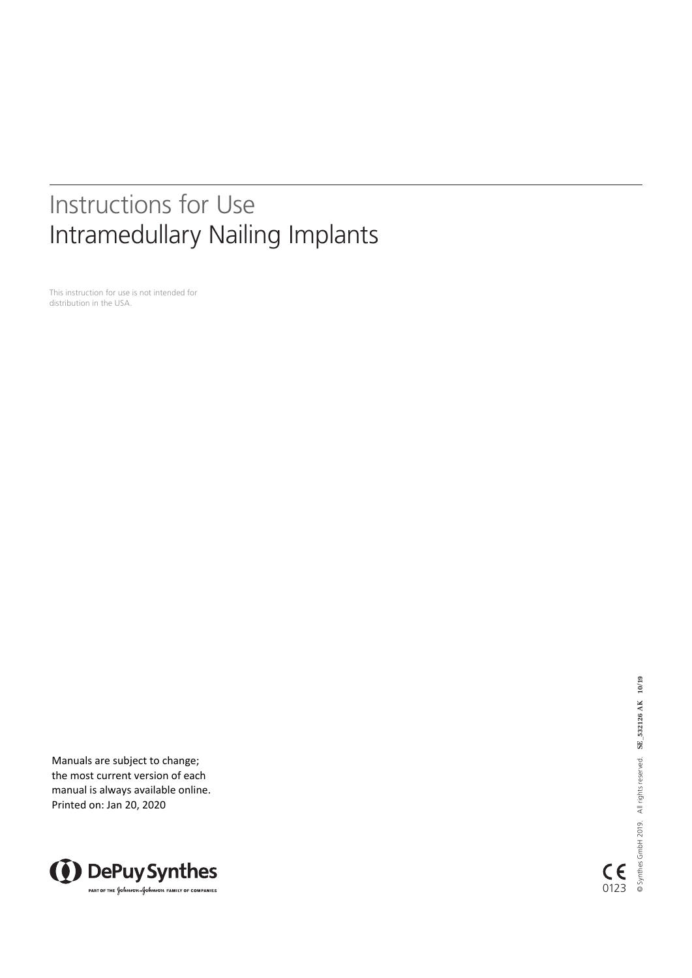# Instructions for Use Intramedullary Nailing Implants

This instruction for use is not intended for distribution in the USA.

Manuals are subject to change; the most current version of each manual is always available online. Printed on: Jan 20, 2020



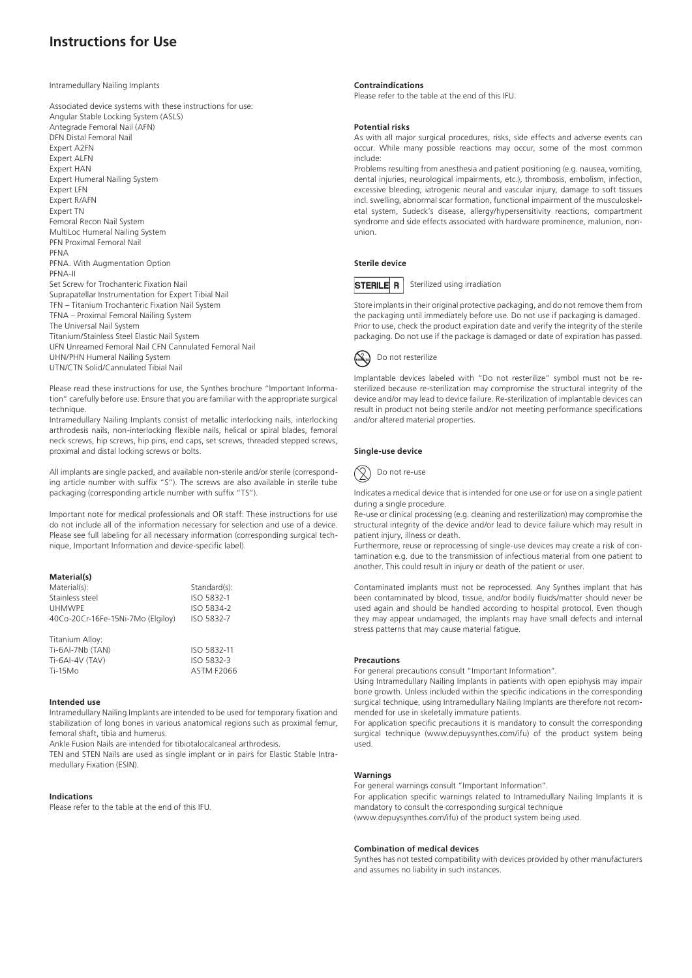# **Instructions for Use**

Intramedullary Nailing Implants

Associated device systems with these instructions for use: Angular Stable Locking System (ASLS) Antegrade Femoral Nail (AFN) DFN Distal Femoral Nail Expert A2FN Expert ALFN Expert HAN Expert Humeral Nailing System Expert LFN Expert R/AFN Expert TN Femoral Recon Nail System MultiLoc Humeral Nailing System PFN Proximal Femoral Nail PFNA PFNA. With Augmentation Option PFNA-II Set Screw for Trochanteric Fixation Nail Suprapatellar Instrumentation for Expert Tibial Nail TFN – Titanium Trochanteric Fixation Nail System TFNA – Proximal Femoral Nailing System The Universal Nail System Titanium/Stainless Steel Elastic Nail System UFN Unreamed Femoral Nail CFN Cannulated Femoral Nail UHN/PHN Humeral Nailing System UTN/CTN Solid/Cannulated Tibial Nail

Please read these instructions for use, the Synthes brochure "Important Information" carefully before use. Ensure that you are familiar with the appropriate surgical technique.

Intramedullary Nailing Implants consist of metallic interlocking nails, interlocking arthrodesis nails, non-interlocking flexible nails, helical or spiral blades, femoral neck screws, hip screws, hip pins, end caps, set screws, threaded stepped screws, proximal and distal locking screws or bolts.

All implants are single packed, and available non-sterile and/or sterile (corresponding article number with suffix "S"). The screws are also available in sterile tube packaging (corresponding article number with suffix "TS").

Important note for medical professionals and OR staff: These instructions for use do not include all of the information necessary for selection and use of a device. Please see full labeling for all necessary information (corresponding surgical technique, Important Information and device-specific label).

# **Material(s)**

| Material(s):                      | Standard(s):      |
|-----------------------------------|-------------------|
| Stainless steel                   | ISO 5832-1        |
| <b>UHMWPE</b>                     | ISO 5834-2        |
| 40Co-20Cr-16Fe-15Ni-7Mo (Elgiloy) | ISO 5832-7        |
| Titanium Alloy:                   |                   |
| Ti-6Al-7Nb (TAN)                  | ISO 5832-11       |
| Ti-6AI-4V (TAV)                   | ISO 5832-3        |
| $Ti-15MO$                         | <b>ASTM F2066</b> |

#### **Intended use**

Intramedullary Nailing Implants are intended to be used for temporary fixation and stabilization of long bones in various anatomical regions such as proximal femur, femoral shaft, tibia and humerus.

Ankle Fusion Nails are intended for tibiotalocalcaneal arthrodesis.

TEN and STEN Nails are used as single implant or in pairs for Elastic Stable Intramedullary Fixation (ESIN).

# **Indications**

Please refer to the table at the end of this IFU.

# **Contraindications**

Please refer to the table at the end of this IFU.

#### **Potential risks**

As with all major surgical procedures, risks, side effects and adverse events can occur. While many possible reactions may occur, some of the most common include:

Problems resulting from anesthesia and patient positioning (e.g. nausea, vomiting, dental injuries, neurological impairments, etc.), thrombosis, embolism, infection, excessive bleeding, iatrogenic neural and vascular injury, damage to soft tissues incl. swelling, abnormal scar formation, functional impairment of the musculoskeletal system, Sudeck's disease, allergy/hypersensitivity reactions, compartment syndrome and side effects associated with hardware prominence, malunion, nonunion.

# **Sterile device**



Sterilized using irradiation

Store implants in their original protective packaging, and do not remove them from the packaging until immediately before use. Do not use if packaging is damaged. Prior to use, check the product expiration date and verify the integrity of the sterile packaging. Do not use if the package is damaged or date of expiration has passed.



Implantable devices labeled with "Do not resterilize" symbol must not be resterilized because re-sterilization may compromise the structural integrity of the device and/or may lead to device failure. Re-sterilization of implantable devices can result in product not being sterile and/or not meeting performance specifications and/or altered material properties.

# **Single-use device**

Do not re-use

Indicates a medical device that is intended for one use or for use on a single patient during a single procedure.

Re-use or clinical processing (e.g. cleaning and resterilization) may compromise the structural integrity of the device and/or lead to device failure which may result in patient injury, illness or death.

Furthermore, reuse or reprocessing of single-use devices may create a risk of contamination e.g. due to the transmission of infectious material from one patient to another. This could result in injury or death of the patient or user.

Contaminated implants must not be reprocessed. Any Synthes implant that has been contaminated by blood, tissue, and/or bodily fluids/matter should never be used again and should be handled according to hospital protocol. Even though they may appear undamaged, the implants may have small defects and internal stress patterns that may cause material fatigue.

#### **Precautions**

For general precautions consult "Important Information".

Using Intramedullary Nailing Implants in patients with open epiphysis may impair bone growth. Unless included within the specific indications in the corresponding surgical technique, using Intramedullary Nailing Implants are therefore not recommended for use in skeletally immature patients.

For application specific precautions it is mandatory to consult the corresponding surgical technique (www.depuysynthes.com/ifu) of the product system being used.

# **Warnings**

For general warnings consult "Important Information". For application specific warnings related to Intramedullary Nailing Implants it is mandatory to consult the corresponding surgical technique (www.depuysynthes.com/ifu) of the product system being used.

#### **Combination of medical devices**

Synthes has not tested compatibility with devices provided by other manufacturers and assumes no liability in such instances.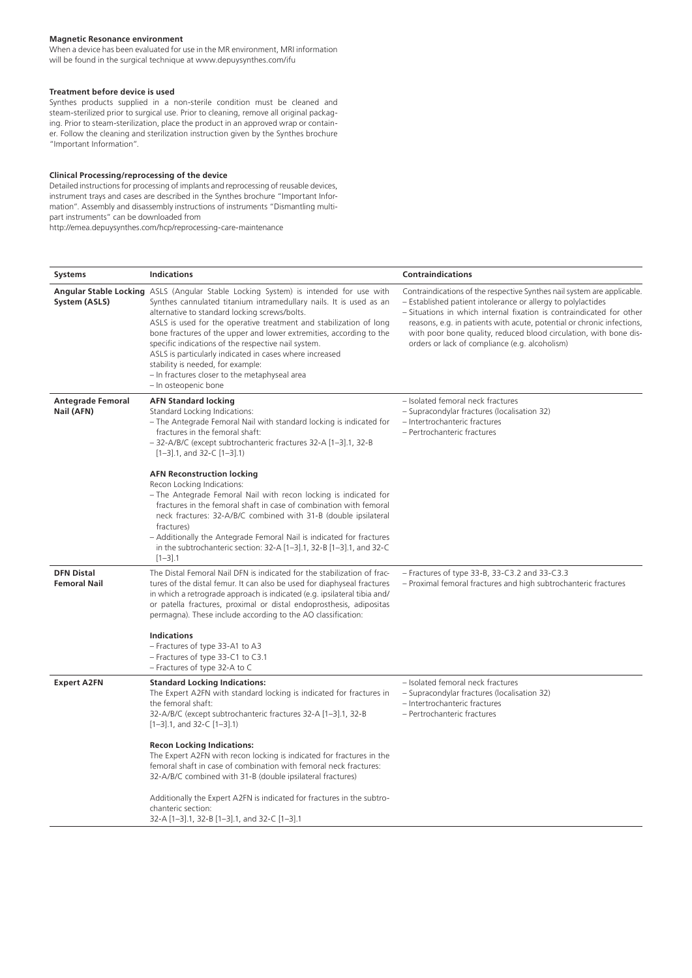# **Magnetic Resonance environment**

When a device has been evaluated for use in the MR environment, MRI information will be found in the surgical technique at www.depuysynthes.com/ifu

# **Treatment before device is used**

Synthes products supplied in a non-sterile condition must be cleaned and steam-sterilized prior to surgical use. Prior to cleaning, remove all original packaging. Prior to steam-sterilization, place the product in an approved wrap or container. Follow the cleaning and sterilization instruction given by the Synthes brochure "Important Information".

# **Clinical Processing/reprocessing of the device**

Detailed instructions for processing of implants and reprocessing of reusable devices, instrument trays and cases are described in the Synthes brochure "Important Information". Assembly and disassembly instructions of instruments "Dismantling multipart instruments" can be downloaded from

http://emea.depuysynthes.com/hcp/reprocessing-care-maintenance

| <b>Systems</b>                           | <b>Indications</b>                                                                                                                                                                                                                                                                                                                                                                                                                                                                                                                                                                       | <b>Contraindications</b>                                                                                                                                                                                                                                                                                                                                                                                         |
|------------------------------------------|------------------------------------------------------------------------------------------------------------------------------------------------------------------------------------------------------------------------------------------------------------------------------------------------------------------------------------------------------------------------------------------------------------------------------------------------------------------------------------------------------------------------------------------------------------------------------------------|------------------------------------------------------------------------------------------------------------------------------------------------------------------------------------------------------------------------------------------------------------------------------------------------------------------------------------------------------------------------------------------------------------------|
| System (ASLS)                            | Angular Stable Locking ASLS (Angular Stable Locking System) is intended for use with<br>Synthes cannulated titanium intramedullary nails. It is used as an<br>alternative to standard locking screws/bolts.<br>ASLS is used for the operative treatment and stabilization of long<br>bone fractures of the upper and lower extremities, according to the<br>specific indications of the respective nail system.<br>ASLS is particularly indicated in cases where increased<br>stability is needed, for example:<br>- In fractures closer to the metaphyseal area<br>- In osteopenic bone | Contraindications of the respective Synthes nail system are applicable.<br>- Established patient intolerance or allergy to polylactides<br>- Situations in which internal fixation is contraindicated for other<br>reasons, e.g. in patients with acute, potential or chronic infections,<br>with poor bone quality, reduced blood circulation, with bone dis-<br>orders or lack of compliance (e.g. alcoholism) |
| <b>Antegrade Femoral</b><br>Nail (AFN)   | <b>AFN Standard locking</b><br>Standard Locking Indications:<br>- The Antegrade Femoral Nail with standard locking is indicated for<br>fractures in the femoral shaft:<br>- 32-A/B/C (except subtrochanteric fractures 32-A [1-3].1, 32-B<br>$[1-3]$ .1, and 32-C $[1-3]$ .1)                                                                                                                                                                                                                                                                                                            | - Isolated femoral neck fractures<br>- Supracondylar fractures (localisation 32)<br>- Intertrochanteric fractures<br>- Pertrochanteric fractures                                                                                                                                                                                                                                                                 |
|                                          | <b>AFN Reconstruction locking</b><br>Recon Locking Indications:<br>- The Antegrade Femoral Nail with recon locking is indicated for<br>fractures in the femoral shaft in case of combination with femoral<br>neck fractures: 32-A/B/C combined with 31-B (double ipsilateral<br>fractures)<br>- Additionally the Antegrade Femoral Nail is indicated for fractures<br>in the subtrochanteric section: $32-A$ $[1-3]$ .1, $32-B$ $[1-3]$ .1, and $32-C$<br>$[1-3]$ .1                                                                                                                     |                                                                                                                                                                                                                                                                                                                                                                                                                  |
| <b>DFN Distal</b><br><b>Femoral Nail</b> | The Distal Femoral Nail DFN is indicated for the stabilization of frac-<br>tures of the distal femur. It can also be used for diaphyseal fractures<br>in which a retrograde approach is indicated (e.g. ipsilateral tibia and/<br>or patella fractures, proximal or distal endoprosthesis, adipositas<br>permagna). These include according to the AO classification:<br><b>Indications</b><br>- Fractures of type 33-A1 to A3                                                                                                                                                           | $-$ Fractures of type 33-B, 33-C3.2 and 33-C3.3<br>- Proximal femoral fractures and high subtrochanteric fractures                                                                                                                                                                                                                                                                                               |
|                                          | - Fractures of type 33-C1 to C3.1<br>- Fractures of type 32-A to C                                                                                                                                                                                                                                                                                                                                                                                                                                                                                                                       |                                                                                                                                                                                                                                                                                                                                                                                                                  |
| <b>Expert A2FN</b>                       | <b>Standard Locking Indications:</b><br>The Expert A2FN with standard locking is indicated for fractures in<br>the femoral shaft:<br>32-A/B/C (except subtrochanteric fractures 32-A [1-3].1, 32-B<br>$[1-3]$ .1, and 32-C $[1-3]$ .1)                                                                                                                                                                                                                                                                                                                                                   | - Isolated femoral neck fractures<br>- Supracondylar fractures (localisation 32)<br>- Intertrochanteric fractures<br>- Pertrochanteric fractures                                                                                                                                                                                                                                                                 |
|                                          | <b>Recon Locking Indications:</b><br>The Expert A2FN with recon locking is indicated for fractures in the<br>femoral shaft in case of combination with femoral neck fractures:<br>32-A/B/C combined with 31-B (double ipsilateral fractures)<br>Additionally the Expert A2FN is indicated for fractures in the subtro-                                                                                                                                                                                                                                                                   |                                                                                                                                                                                                                                                                                                                                                                                                                  |
|                                          | chanteric section:<br>32-A [1-3].1, 32-B [1-3].1, and 32-C [1-3].1                                                                                                                                                                                                                                                                                                                                                                                                                                                                                                                       |                                                                                                                                                                                                                                                                                                                                                                                                                  |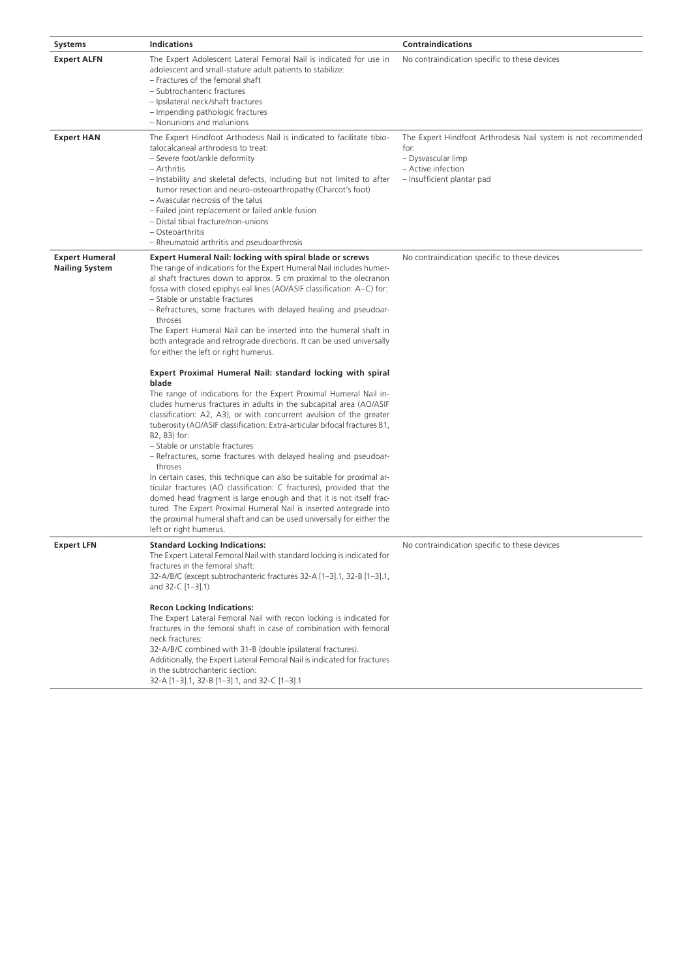| Systems                                        | <b>Indications</b>                                                                                                                                                                                                                                                                                                                                                                                                                                                                                                                                                                                                                                                                                                                                                                                                                                                                                                                                                                                                                                                                                                                                                                                                                                                                                                                                                                                                                                                                                      | <b>Contraindications</b>                                                                                                                         |
|------------------------------------------------|---------------------------------------------------------------------------------------------------------------------------------------------------------------------------------------------------------------------------------------------------------------------------------------------------------------------------------------------------------------------------------------------------------------------------------------------------------------------------------------------------------------------------------------------------------------------------------------------------------------------------------------------------------------------------------------------------------------------------------------------------------------------------------------------------------------------------------------------------------------------------------------------------------------------------------------------------------------------------------------------------------------------------------------------------------------------------------------------------------------------------------------------------------------------------------------------------------------------------------------------------------------------------------------------------------------------------------------------------------------------------------------------------------------------------------------------------------------------------------------------------------|--------------------------------------------------------------------------------------------------------------------------------------------------|
| <b>Expert ALFN</b>                             | The Expert Adolescent Lateral Femoral Nail is indicated for use in<br>adolescent and small-stature adult patients to stabilize:<br>- Fractures of the femoral shaft<br>- Subtrochanteric fractures<br>- Ipsilateral neck/shaft fractures<br>- Impending pathologic fractures<br>- Nonunions and malunions                                                                                                                                                                                                                                                                                                                                                                                                                                                                                                                                                                                                                                                                                                                                                                                                                                                                                                                                                                                                                                                                                                                                                                                               | No contraindication specific to these devices                                                                                                    |
| <b>Expert HAN</b>                              | The Expert Hindfoot Arthodesis Nail is indicated to facilitate tibio-<br>talocalcaneal arthrodesis to treat:<br>- Severe foot/ankle deformity<br>– Arthritis<br>- Instability and skeletal defects, including but not limited to after<br>tumor resection and neuro-osteoarthropathy (Charcot's foot)<br>- Avascular necrosis of the talus<br>- Failed joint replacement or failed ankle fusion<br>- Distal tibial fracture/non-unions<br>- Osteoarthritis<br>- Rheumatoid arthritis and pseudoarthrosis                                                                                                                                                                                                                                                                                                                                                                                                                                                                                                                                                                                                                                                                                                                                                                                                                                                                                                                                                                                                | The Expert Hindfoot Arthrodesis Nail system is not recommended<br>for:<br>- Dysvascular limp<br>- Active infection<br>- Insufficient plantar pad |
| <b>Expert Humeral</b><br><b>Nailing System</b> | <b>Expert Humeral Nail: locking with spiral blade or screws</b><br>The range of indications for the Expert Humeral Nail includes humer-<br>al shaft fractures down to approx. 5 cm proximal to the olecranon<br>fossa with closed epiphys eal lines (AO/ASIF classification: A-C) for:<br>- Stable or unstable fractures<br>- Refractures, some fractures with delayed healing and pseudoar-<br>throses<br>The Expert Humeral Nail can be inserted into the humeral shaft in<br>both antegrade and retrograde directions. It can be used universally<br>for either the left or right humerus.<br>Expert Proximal Humeral Nail: standard locking with spiral<br>blade<br>The range of indications for the Expert Proximal Humeral Nail in-<br>cludes humerus fractures in adults in the subcapital area (AO/ASIF<br>classification: A2, A3), or with concurrent avulsion of the greater<br>tuberosity (AO/ASIF classification: Extra-articular bifocal fractures B1,<br>B2, B3) for:<br>- Stable or unstable fractures<br>- Refractures, some fractures with delayed healing and pseudoar-<br>throses<br>In certain cases, this technique can also be suitable for proximal ar-<br>ticular fractures (AO classification: C fractures), provided that the<br>domed head fragment is large enough and that it is not itself frac-<br>tured. The Expert Proximal Humeral Nail is inserted antegrade into<br>the proximal humeral shaft and can be used universally for either the<br>left or right humerus. | No contraindication specific to these devices                                                                                                    |
| <b>Expert LFN</b>                              | <b>Standard Locking Indications:</b><br>The Expert Lateral Femoral Nail with standard locking is indicated for<br>fractures in the femoral shaft:<br>32-A/B/C (except subtrochanteric fractures 32-A [1-3].1, 32-B [1-3].1,<br>and 32-C [1-3].1)<br><b>Recon Locking Indications:</b><br>The Expert Lateral Femoral Nail with recon locking is indicated for<br>fractures in the femoral shaft in case of combination with femoral<br>neck fractures:<br>32-A/B/C combined with 31-B (double ipsilateral fractures).<br>Additionally, the Expert Lateral Femoral Nail is indicated for fractures<br>in the subtrochanteric section:<br>32-A [1-3].1, 32-B [1-3].1, and 32-C [1-3].1                                                                                                                                                                                                                                                                                                                                                                                                                                                                                                                                                                                                                                                                                                                                                                                                                     | No contraindication specific to these devices                                                                                                    |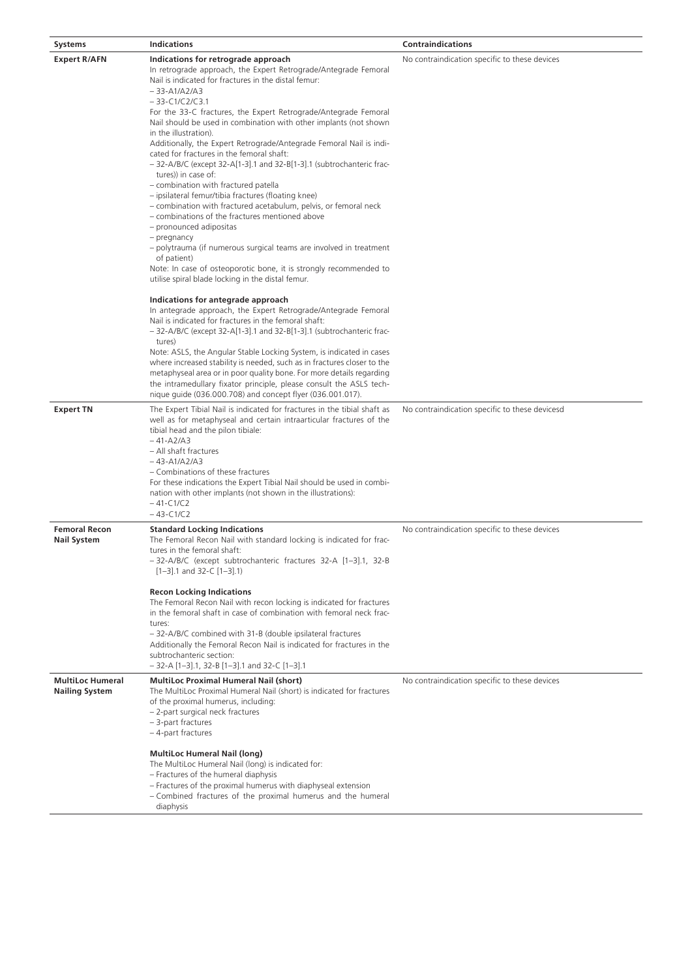| <b>Systems</b>                                   | <b>Indications</b>                                                                                                                                                                                                                                                                                                                                                                                                                                                                                                                                                                                                                                                                                                                                                                                                                                                                                                                                                                                                                                                                                                                                                                                                                                                                                                                                                                                                                                                                                                                                                                                                                                                                             | <b>Contraindications</b>                       |
|--------------------------------------------------|------------------------------------------------------------------------------------------------------------------------------------------------------------------------------------------------------------------------------------------------------------------------------------------------------------------------------------------------------------------------------------------------------------------------------------------------------------------------------------------------------------------------------------------------------------------------------------------------------------------------------------------------------------------------------------------------------------------------------------------------------------------------------------------------------------------------------------------------------------------------------------------------------------------------------------------------------------------------------------------------------------------------------------------------------------------------------------------------------------------------------------------------------------------------------------------------------------------------------------------------------------------------------------------------------------------------------------------------------------------------------------------------------------------------------------------------------------------------------------------------------------------------------------------------------------------------------------------------------------------------------------------------------------------------------------------------|------------------------------------------------|
| <b>Expert R/AFN</b>                              | Indications for retrograde approach<br>In retrograde approach, the Expert Retrograde/Antegrade Femoral<br>Nail is indicated for fractures in the distal femur:<br>$-33 - A1/A2/A3$<br>$-33-C1/C2/C3.1$<br>For the 33-C fractures, the Expert Retrograde/Antegrade Femoral<br>Nail should be used in combination with other implants (not shown<br>in the illustration).<br>Additionally, the Expert Retrograde/Antegrade Femoral Nail is indi-<br>cated for fractures in the femoral shaft:<br>- 32-A/B/C (except 32-A[1-3].1 and 32-B[1-3].1 (subtrochanteric frac-<br>tures)) in case of:<br>- combination with fractured patella<br>- ipsilateral femur/tibia fractures (floating knee)<br>- combination with fractured acetabulum, pelvis, or femoral neck<br>- combinations of the fractures mentioned above<br>- pronounced adipositas<br>- pregnancy<br>- polytrauma (if numerous surgical teams are involved in treatment<br>of patient)<br>Note: In case of osteoporotic bone, it is strongly recommended to<br>utilise spiral blade locking in the distal femur.<br>Indications for antegrade approach<br>In antegrade approach, the Expert Retrograde/Antegrade Femoral<br>Nail is indicated for fractures in the femoral shaft:<br>- 32-A/B/C (except 32-A[1-3].1 and 32-B[1-3].1 (subtrochanteric frac-<br>tures)<br>Note: ASLS, the Angular Stable Locking System, is indicated in cases<br>where increased stability is needed, such as in fractures closer to the<br>metaphyseal area or in poor quality bone. For more details regarding<br>the intramedullary fixator principle, please consult the ASLS tech-<br>nique quide (036.000.708) and concept flyer (036.001.017). | No contraindication specific to these devices  |
| <b>Expert TN</b>                                 | The Expert Tibial Nail is indicated for fractures in the tibial shaft as<br>well as for metaphyseal and certain intraarticular fractures of the<br>tibial head and the pilon tibiale:<br>$-41 - A2/A3$<br>- All shaft fractures<br>$-43 - A1/A2/A3$<br>- Combinations of these fractures<br>For these indications the Expert Tibial Nail should be used in combi-<br>nation with other implants (not shown in the illustrations):<br>$-41-C1/C2$<br>$-43-C1/C2$                                                                                                                                                                                                                                                                                                                                                                                                                                                                                                                                                                                                                                                                                                                                                                                                                                                                                                                                                                                                                                                                                                                                                                                                                                | No contraindication specific to these devicesd |
| <b>Femoral Recon</b><br><b>Nail System</b>       | <b>Standard Locking Indications</b><br>The Femoral Recon Nail with standard locking is indicated for frac-<br>tures in the femoral shaft:<br>-32-A/B/C (except subtrochanteric fractures 32-A [1-3].1, 32-B<br>$[1-3]$ .1 and 32-C $[1-3]$ .1)<br><b>Recon Locking Indications</b><br>The Femoral Recon Nail with recon locking is indicated for fractures<br>in the femoral shaft in case of combination with femoral neck frac-<br>tures:<br>- 32-A/B/C combined with 31-B (double ipsilateral fractures<br>Additionally the Femoral Recon Nail is indicated for fractures in the<br>subtrochanteric section:<br>$-$ 32-A [1-3].1, 32-B [1-3].1 and 32-C [1-3].1                                                                                                                                                                                                                                                                                                                                                                                                                                                                                                                                                                                                                                                                                                                                                                                                                                                                                                                                                                                                                             | No contraindication specific to these devices  |
| <b>MultiLoc Humeral</b><br><b>Nailing System</b> | <b>MultiLoc Proximal Humeral Nail (short)</b><br>The MultiLoc Proximal Humeral Nail (short) is indicated for fractures<br>of the proximal humerus, including:<br>- 2-part surgical neck fractures<br>- 3-part fractures<br>-4-part fractures<br><b>MultiLoc Humeral Nail (long)</b><br>The MultiLoc Humeral Nail (long) is indicated for:<br>- Fractures of the humeral diaphysis<br>- Fractures of the proximal humerus with diaphyseal extension<br>- Combined fractures of the proximal humerus and the humeral<br>diaphysis                                                                                                                                                                                                                                                                                                                                                                                                                                                                                                                                                                                                                                                                                                                                                                                                                                                                                                                                                                                                                                                                                                                                                                | No contraindication specific to these devices  |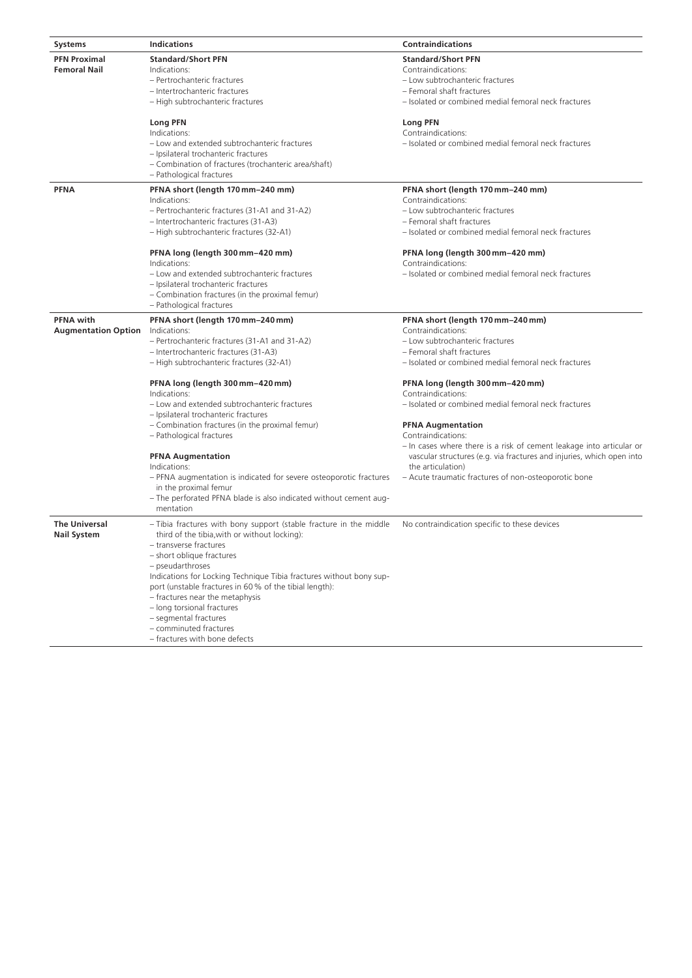| <b>Systems</b>                                 | <b>Indications</b>                                                                                                                                                                                                                                                                                                                                                                                                                                                                   | <b>Contraindications</b>                                                                                                                                                                                                                                                     |
|------------------------------------------------|--------------------------------------------------------------------------------------------------------------------------------------------------------------------------------------------------------------------------------------------------------------------------------------------------------------------------------------------------------------------------------------------------------------------------------------------------------------------------------------|------------------------------------------------------------------------------------------------------------------------------------------------------------------------------------------------------------------------------------------------------------------------------|
| <b>PFN Proximal</b><br><b>Femoral Nail</b>     | <b>Standard/Short PFN</b><br>Indications:<br>- Pertrochanteric fractures<br>- Intertrochanteric fractures<br>- High subtrochanteric fractures                                                                                                                                                                                                                                                                                                                                        | <b>Standard/Short PFN</b><br>Contraindications:<br>- Low subtrochanteric fractures<br>- Femoral shaft fractures<br>- Isolated or combined medial femoral neck fractures                                                                                                      |
|                                                | <b>Long PFN</b><br>Indications:<br>- Low and extended subtrochanteric fractures<br>- Ipsilateral trochanteric fractures<br>- Combination of fractures (trochanteric area/shaft)<br>- Pathological fractures                                                                                                                                                                                                                                                                          | <b>Long PFN</b><br>Contraindications:<br>- Isolated or combined medial femoral neck fractures                                                                                                                                                                                |
| <b>PFNA</b>                                    | PFNA short (length 170 mm-240 mm)<br>Indications:<br>- Pertrochanteric fractures (31-A1 and 31-A2)<br>- Intertrochanteric fractures (31-A3)<br>- High subtrochanteric fractures (32-A1)                                                                                                                                                                                                                                                                                              | PFNA short (length 170 mm-240 mm)<br>Contraindications:<br>- Low subtrochanteric fractures<br>- Femoral shaft fractures<br>- Isolated or combined medial femoral neck fractures                                                                                              |
|                                                | PFNA long (length 300 mm-420 mm)<br>Indications:<br>- Low and extended subtrochanteric fractures<br>- Ipsilateral trochanteric fractures<br>- Combination fractures (in the proximal femur)<br>- Pathological fractures                                                                                                                                                                                                                                                              | PFNA long (length 300 mm-420 mm)<br>Contraindications:<br>- Isolated or combined medial femoral neck fractures                                                                                                                                                               |
| <b>PFNA</b> with<br><b>Augmentation Option</b> | PFNA short (length 170 mm-240 mm)<br>Indications:<br>- Pertrochanteric fractures (31-A1 and 31-A2)<br>- Intertrochanteric fractures (31-A3)<br>- High subtrochanteric fractures (32-A1)                                                                                                                                                                                                                                                                                              | PFNA short (length 170 mm-240 mm)<br>Contraindications:<br>- Low subtrochanteric fractures<br>- Femoral shaft fractures<br>- Isolated or combined medial femoral neck fractures                                                                                              |
|                                                | PFNA long (length 300 mm-420 mm)<br>Indications:<br>- Low and extended subtrochanteric fractures                                                                                                                                                                                                                                                                                                                                                                                     | PFNA long (length 300 mm-420 mm)<br>Contraindications:<br>- Isolated or combined medial femoral neck fractures                                                                                                                                                               |
|                                                | - Ipsilateral trochanteric fractures<br>- Combination fractures (in the proximal femur)<br>- Pathological fractures<br><b>PFNA Augmentation</b><br>Indications:<br>- PFNA augmentation is indicated for severe osteoporotic fractures<br>in the proximal femur<br>- The perforated PFNA blade is also indicated without cement aug-<br>mentation                                                                                                                                     | <b>PFNA Augmentation</b><br>Contraindications:<br>- In cases where there is a risk of cement leakage into articular or<br>vascular structures (e.g. via fractures and injuries, which open into<br>the articulation)<br>- Acute traumatic fractures of non-osteoporotic bone |
| <b>The Universal</b><br><b>Nail System</b>     | - Tibia fractures with bony support (stable fracture in the middle<br>third of the tibia, with or without locking):<br>- transverse fractures<br>- short oblique fractures<br>- pseudarthroses<br>Indications for Locking Technique Tibia fractures without bony sup-<br>port (unstable fractures in 60% of the tibial length):<br>- fractures near the metaphysis<br>- long torsional fractures<br>- segmental fractures<br>- comminuted fractures<br>- fractures with bone defects | No contraindication specific to these devices                                                                                                                                                                                                                                |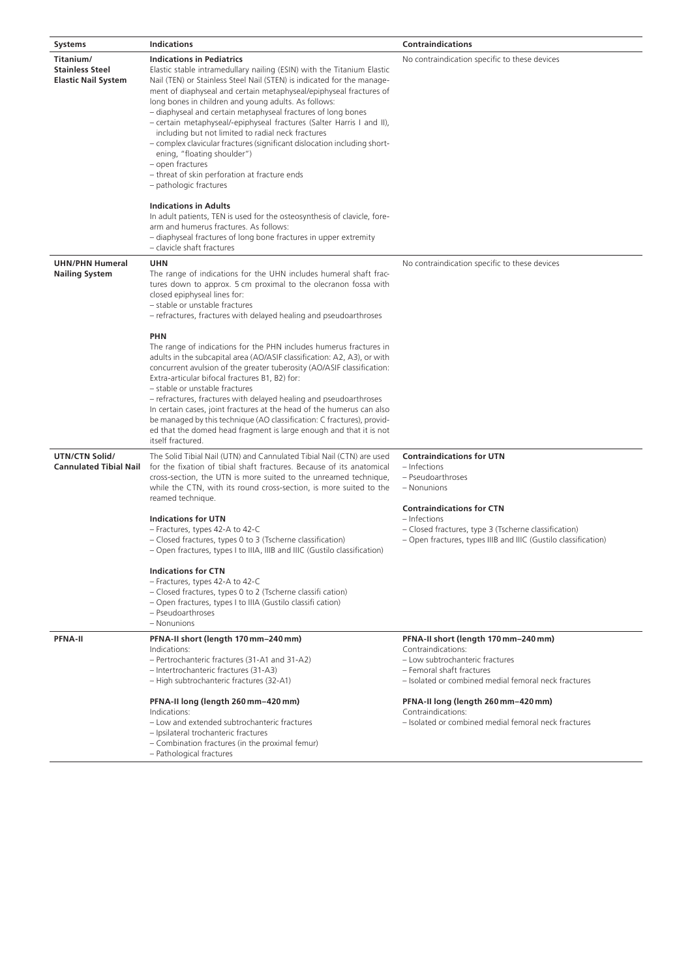| <b>Systems</b>                                                    | <b>Indications</b>                                                                                                                                                                                                                                                                                                                                                                                                                                                                                                                                                                                                                                                                                                          | <b>Contraindications</b>                                                                                                                                                           |
|-------------------------------------------------------------------|-----------------------------------------------------------------------------------------------------------------------------------------------------------------------------------------------------------------------------------------------------------------------------------------------------------------------------------------------------------------------------------------------------------------------------------------------------------------------------------------------------------------------------------------------------------------------------------------------------------------------------------------------------------------------------------------------------------------------------|------------------------------------------------------------------------------------------------------------------------------------------------------------------------------------|
| Titanium/<br><b>Stainless Steel</b><br><b>Elastic Nail System</b> | <b>Indications in Pediatrics</b><br>Elastic stable intramedullary nailing (ESIN) with the Titanium Elastic<br>Nail (TEN) or Stainless Steel Nail (STEN) is indicated for the manage-<br>ment of diaphyseal and certain metaphyseal/epiphyseal fractures of<br>long bones in children and young adults. As follows:<br>- diaphyseal and certain metaphyseal fractures of long bones<br>- certain metaphyseal/-epiphyseal fractures (Salter Harris I and II),<br>including but not limited to radial neck fractures<br>- complex clavicular fractures (significant dislocation including short-<br>ening, "floating shoulder")<br>- open fractures<br>- threat of skin perforation at fracture ends<br>- pathologic fractures | No contraindication specific to these devices                                                                                                                                      |
|                                                                   | <b>Indications in Adults</b><br>In adult patients, TEN is used for the osteosynthesis of clavicle, fore-<br>arm and humerus fractures. As follows:<br>- diaphyseal fractures of long bone fractures in upper extremity<br>- clavicle shaft fractures                                                                                                                                                                                                                                                                                                                                                                                                                                                                        |                                                                                                                                                                                    |
| <b>UHN/PHN Humeral</b><br><b>Nailing System</b>                   | <b>UHN</b><br>The range of indications for the UHN includes humeral shaft frac-<br>tures down to approx. 5 cm proximal to the olecranon fossa with<br>closed epiphyseal lines for:<br>- stable or unstable fractures<br>- refractures, fractures with delayed healing and pseudoarthroses                                                                                                                                                                                                                                                                                                                                                                                                                                   | No contraindication specific to these devices                                                                                                                                      |
|                                                                   | <b>PHN</b><br>The range of indications for the PHN includes humerus fractures in<br>adults in the subcapital area (AO/ASIF classification: A2, A3), or with<br>concurrent avulsion of the greater tuberosity (AO/ASIF classification:<br>Extra-articular bifocal fractures B1, B2) for:<br>- stable or unstable fractures<br>- refractures, fractures with delayed healing and pseudoarthroses<br>In certain cases, joint fractures at the head of the humerus can also<br>be managed by this technique (AO classification: C fractures), provid-<br>ed that the domed head fragment is large enough and that it is not<br>itself fractured.                                                                                |                                                                                                                                                                                    |
| UTN/CTN Solid/<br><b>Cannulated Tibial Nail</b>                   | The Solid Tibial Nail (UTN) and Cannulated Tibial Nail (CTN) are used<br>for the fixation of tibial shaft fractures. Because of its anatomical<br>cross-section, the UTN is more suited to the unreamed technique,<br>while the CTN, with its round cross-section, is more suited to the<br>reamed technique.                                                                                                                                                                                                                                                                                                                                                                                                               | <b>Contraindications for UTN</b><br>– Infections<br>- Pseudoarthroses<br>- Nonunions                                                                                               |
|                                                                   | <b>Indications for UTN</b><br>- Fractures, types 42-A to 42-C<br>- Closed fractures, types 0 to 3 (Tscherne classification)<br>- Open fractures, types I to IIIA, IIIB and IIIC (Gustilo classification)                                                                                                                                                                                                                                                                                                                                                                                                                                                                                                                    | <b>Contraindications for CTN</b><br>- Infections<br>- Closed fractures, type 3 (Tscherne classification)<br>- Open fractures, types IIIB and IIIC (Gustilo classification)         |
|                                                                   | <b>Indications for CTN</b><br>- Fractures, types 42-A to 42-C<br>- Closed fractures, types 0 to 2 (Tscherne classifi cation)<br>- Open fractures, types I to IIIA (Gustilo classifi cation)<br>- Pseudoarthroses<br>- Nonunions                                                                                                                                                                                                                                                                                                                                                                                                                                                                                             |                                                                                                                                                                                    |
| <b>PFNA-II</b>                                                    | PFNA-II short (length 170 mm-240 mm)<br>Indications:<br>- Pertrochanteric fractures (31-A1 and 31-A2)<br>- Intertrochanteric fractures (31-A3)<br>- High subtrochanteric fractures (32-A1)                                                                                                                                                                                                                                                                                                                                                                                                                                                                                                                                  | PFNA-II short (length 170 mm-240 mm)<br>Contraindications:<br>- Low subtrochanteric fractures<br>- Femoral shaft fractures<br>- Isolated or combined medial femoral neck fractures |
|                                                                   | PFNA-II long (length 260 mm-420 mm)<br>Indications:<br>- Low and extended subtrochanteric fractures<br>- Ipsilateral trochanteric fractures<br>- Combination fractures (in the proximal femur)<br>- Pathological fractures                                                                                                                                                                                                                                                                                                                                                                                                                                                                                                  | PFNA-II long (length 260 mm-420 mm)<br>Contraindications:<br>- Isolated or combined medial femoral neck fractures                                                                  |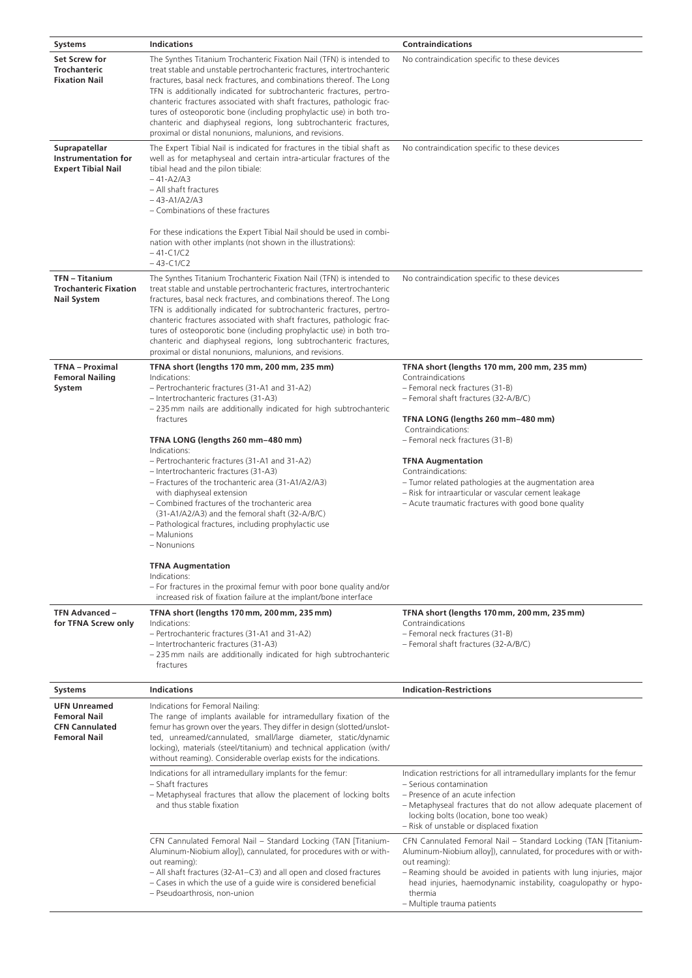| <b>Systems</b>                                                                             | <b>Indications</b>                                                                                                                                                                                                                                                                                                                                                                                                                                                                                                                                                                                                                                                                                                                                                                    | <b>Contraindications</b>                                                                                                                                                                                                                                                                                                                                                                                                                                          |
|--------------------------------------------------------------------------------------------|---------------------------------------------------------------------------------------------------------------------------------------------------------------------------------------------------------------------------------------------------------------------------------------------------------------------------------------------------------------------------------------------------------------------------------------------------------------------------------------------------------------------------------------------------------------------------------------------------------------------------------------------------------------------------------------------------------------------------------------------------------------------------------------|-------------------------------------------------------------------------------------------------------------------------------------------------------------------------------------------------------------------------------------------------------------------------------------------------------------------------------------------------------------------------------------------------------------------------------------------------------------------|
| Set Screw for<br><b>Trochanteric</b><br><b>Fixation Nail</b>                               | The Synthes Titanium Trochanteric Fixation Nail (TFN) is intended to<br>treat stable and unstable pertrochanteric fractures, intertrochanteric<br>fractures, basal neck fractures, and combinations thereof. The Long<br>TFN is additionally indicated for subtrochanteric fractures, pertro-<br>chanteric fractures associated with shaft fractures, pathologic frac-<br>tures of osteoporotic bone (including prophylactic use) in both tro-<br>chanteric and diaphyseal regions, long subtrochanteric fractures,<br>proximal or distal nonunions, malunions, and revisions.                                                                                                                                                                                                        | No contraindication specific to these devices                                                                                                                                                                                                                                                                                                                                                                                                                     |
| Suprapatellar<br><b>Instrumentation for</b><br><b>Expert Tibial Nail</b>                   | The Expert Tibial Nail is indicated for fractures in the tibial shaft as<br>well as for metaphyseal and certain intra-articular fractures of the<br>tibial head and the pilon tibiale:<br>$-41 - A2/A3$<br>- All shaft fractures<br>$-43 - A1/A2/A3$<br>- Combinations of these fractures<br>For these indications the Expert Tibial Nail should be used in combi-<br>nation with other implants (not shown in the illustrations):<br>$-41-C1/C2$<br>$-43-C1/C2$                                                                                                                                                                                                                                                                                                                      | No contraindication specific to these devices                                                                                                                                                                                                                                                                                                                                                                                                                     |
| <b>TFN - Titanium</b><br><b>Trochanteric Fixation</b><br><b>Nail System</b>                | The Synthes Titanium Trochanteric Fixation Nail (TFN) is intended to<br>treat stable and unstable pertrochanteric fractures, intertrochanteric<br>fractures, basal neck fractures, and combinations thereof. The Long<br>TFN is additionally indicated for subtrochanteric fractures, pertro-<br>chanteric fractures associated with shaft fractures, pathologic frac-<br>tures of osteoporotic bone (including prophylactic use) in both tro-<br>chanteric and diaphyseal regions, long subtrochanteric fractures,<br>proximal or distal nonunions, malunions, and revisions.                                                                                                                                                                                                        | No contraindication specific to these devices                                                                                                                                                                                                                                                                                                                                                                                                                     |
| <b>TFNA - Proximal</b><br><b>Femoral Nailing</b><br>System                                 | TFNA short (lengths 170 mm, 200 mm, 235 mm)<br>Indications:<br>- Pertrochanteric fractures (31-A1 and 31-A2)<br>- Intertrochanteric fractures (31-A3)<br>-235 mm nails are additionally indicated for high subtrochanteric<br>fractures<br>TFNA LONG (lengths 260 mm-480 mm)<br>Indications:<br>- Pertrochanteric fractures (31-A1 and 31-A2)<br>- Intertrochanteric fractures (31-A3)<br>- Fractures of the trochanteric area (31-A1/A2/A3)<br>with diaphyseal extension<br>- Combined fractures of the trochanteric area<br>(31-A1/A2/A3) and the femoral shaft (32-A/B/C)<br>- Pathological fractures, including prophylactic use<br>- Malunions<br>- Nonunions<br><b>TFNA Augmentation</b><br>Indications:<br>- For fractures in the proximal femur with poor bone quality and/or | TFNA short (lengths 170 mm, 200 mm, 235 mm)<br>Contraindications<br>- Femoral neck fractures (31-B)<br>- Femoral shaft fractures (32-A/B/C)<br>TFNA LONG (lengths 260 mm-480 mm)<br>Contraindications:<br>- Femoral neck fractures (31-B)<br><b>TFNA Augmentation</b><br>Contraindications:<br>- Tumor related pathologies at the augmentation area<br>- Risk for intraarticular or vascular cement leakage<br>- Acute traumatic fractures with good bone quality |
| TFN Advanced -<br>for TFNA Screw only                                                      | increased risk of fixation failure at the implant/bone interface<br>TFNA short (lengths 170 mm, 200 mm, 235 mm)<br>Indications:<br>- Pertrochanteric fractures (31-A1 and 31-A2)<br>- Intertrochanteric fractures (31-A3)<br>-235 mm nails are additionally indicated for high subtrochanteric<br>fractures                                                                                                                                                                                                                                                                                                                                                                                                                                                                           | TFNA short (lengths 170 mm, 200 mm, 235 mm)<br>Contraindications<br>- Femoral neck fractures (31-B)<br>- Femoral shaft fractures (32-A/B/C)                                                                                                                                                                                                                                                                                                                       |
| <b>Systems</b>                                                                             | <b>Indications</b>                                                                                                                                                                                                                                                                                                                                                                                                                                                                                                                                                                                                                                                                                                                                                                    | <b>Indication-Restrictions</b>                                                                                                                                                                                                                                                                                                                                                                                                                                    |
| <b>UFN Unreamed</b><br><b>Femoral Nail</b><br><b>CFN Cannulated</b><br><b>Femoral Nail</b> | Indications for Femoral Nailing:<br>The range of implants available for intramedullary fixation of the<br>femur has grown over the years. They differ in design (slotted/unslot-<br>ted, unreamed/cannulated, small/large diameter, static/dynamic<br>locking), materials (steel/titanium) and technical application (with/<br>without reaming). Considerable overlap exists for the indications.                                                                                                                                                                                                                                                                                                                                                                                     |                                                                                                                                                                                                                                                                                                                                                                                                                                                                   |
|                                                                                            | Indications for all intramedullary implants for the femur:<br>- Shaft fractures<br>- Metaphyseal fractures that allow the placement of locking bolts<br>and thus stable fixation                                                                                                                                                                                                                                                                                                                                                                                                                                                                                                                                                                                                      | Indication restrictions for all intramedullary implants for the femur<br>- Serious contamination<br>- Presence of an acute infection<br>- Metaphyseal fractures that do not allow adequate placement of<br>locking bolts (location, bone too weak)<br>- Risk of unstable or displaced fixation                                                                                                                                                                    |
|                                                                                            | CFN Cannulated Femoral Nail - Standard Locking (TAN [Titanium-<br>Aluminum-Niobium alloy]), cannulated, for procedures with or with-<br>out reaming):<br>- All shaft fractures (32-A1-C3) and all open and closed fractures<br>- Cases in which the use of a guide wire is considered beneficial<br>- Pseudoarthrosis, non-union                                                                                                                                                                                                                                                                                                                                                                                                                                                      | CFN Cannulated Femoral Nail - Standard Locking (TAN [Titanium-<br>Aluminum-Niobium alloy]), cannulated, for procedures with or with-<br>out reaming):<br>- Reaming should be avoided in patients with lung injuries, major<br>head injuries, haemodynamic instability, coagulopathy or hypo-<br>thermia<br>- Multiple trauma patients                                                                                                                             |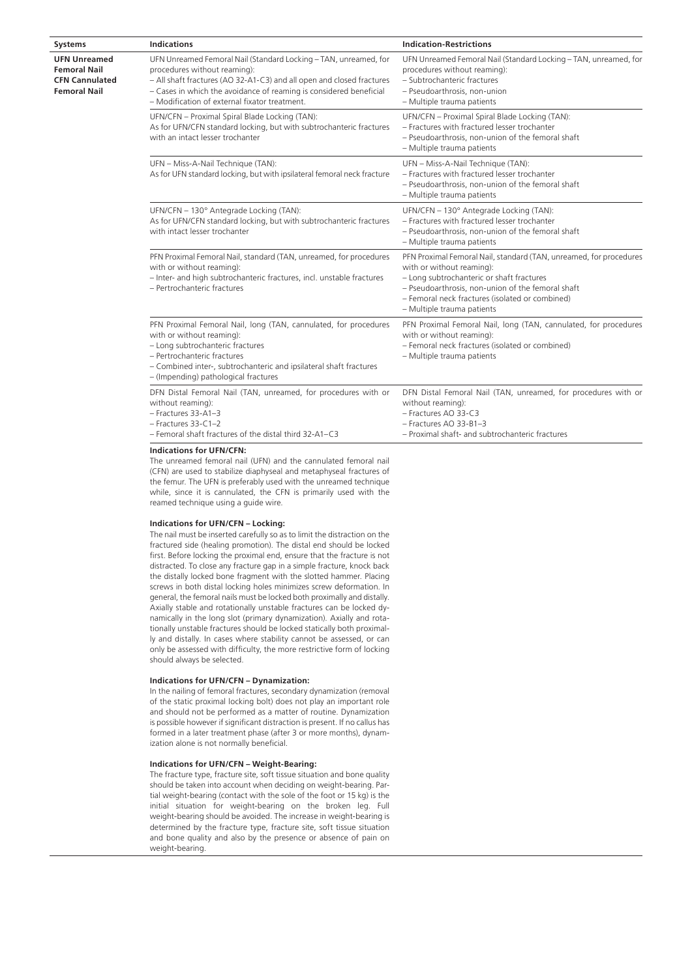| <b>Indication-Restrictions</b>                                                                                                                                                                                                                                                                                                                                                                                                                                    |
|-------------------------------------------------------------------------------------------------------------------------------------------------------------------------------------------------------------------------------------------------------------------------------------------------------------------------------------------------------------------------------------------------------------------------------------------------------------------|
| UFN Unreamed Femoral Nail (Standard Locking - TAN, unreamed, for<br>UFN Unreamed Femoral Nail (Standard Locking - TAN, unreamed, for<br>procedures without reaming):<br>- All shaft fractures (AO 32-A1-C3) and all open and closed fractures<br>- Subtrochanteric fractures<br>- Cases in which the avoidance of reaming is considered beneficial<br>- Pseudoarthrosis, non-union<br>- Modification of external fixator treatment.<br>- Multiple trauma patients |
| UFN/CFN - Proximal Spiral Blade Locking (TAN):<br>UFN/CFN - Proximal Spiral Blade Locking (TAN):<br>- Fractures with fractured lesser trochanter<br>As for UFN/CFN standard locking, but with subtrochanteric fractures<br>- Pseudoarthrosis, non-union of the femoral shaft<br>- Multiple trauma patients                                                                                                                                                        |
| UFN - Miss-A-Nail Technique (TAN):<br>As for UFN standard locking, but with ipsilateral femoral neck fracture<br>- Fractures with fractured lesser trochanter<br>- Pseudoarthrosis, non-union of the femoral shaft<br>- Multiple trauma patients                                                                                                                                                                                                                  |
| UFN/CFN - 130° Antegrade Locking (TAN):<br>UFN/CFN - 130° Antegrade Locking (TAN):<br>- Fractures with fractured lesser trochanter<br>As for UFN/CFN standard locking, but with subtrochanteric fractures<br>- Pseudoarthrosis, non-union of the femoral shaft<br>- Multiple trauma patients                                                                                                                                                                      |
| PFN Proximal Femoral Nail, standard (TAN, unreamed, for procedures<br>PFN Proximal Femoral Nail, standard (TAN, unreamed, for procedures<br>with or without reaming):<br>- Inter- and high subtrochanteric fractures, incl. unstable fractures<br>- Long subtrochanteric or shaft fractures<br>- Pseudoarthrosis, non-union of the femoral shaft<br>- Femoral neck fractures (isolated or combined)<br>- Multiple trauma patients                                 |
| PFN Proximal Femoral Nail, long (TAN, cannulated, for procedures<br>PFN Proximal Femoral Nail, long (TAN, cannulated, for procedures<br>with or without reaming):<br>- Femoral neck fractures (isolated or combined)<br>- Multiple trauma patients<br>- Combined inter-, subtrochanteric and ipsilateral shaft fractures                                                                                                                                          |
| DFN Distal Femoral Nail (TAN, unreamed, for procedures with or<br>DFN Distal Femoral Nail (TAN, unreamed, for procedures with or<br>without reaming):<br>- Fractures AO 33-C3<br>- Fractures AO 33-B1-3<br>- Femoral shaft fractures of the distal third 32-A1-C3<br>- Proximal shaft- and subtrochanteric fractures                                                                                                                                              |
|                                                                                                                                                                                                                                                                                                                                                                                                                                                                   |

**Indications for UFN/CFN:**

The unreamed femoral nail (UFN) and the cannulated femoral nail (CFN) are used to stabilize diaphyseal and metaphyseal fractures of the femur. The UFN is preferably used with the unreamed technique while, since it is cannulated, the CFN is primarily used with the reamed technique using a guide wire.

# **Indications for UFN/CFN – Locking:**

The nail must be inserted carefully so as to limit the distraction on the fractured side (healing promotion). The distal end should be locked first. Before locking the proximal end, ensure that the fracture is not distracted. To close any fracture gap in a simple fracture, knock back the distally locked bone fragment with the slotted hammer. Placing screws in both distal locking holes minimizes screw deformation. In general, the femoral nails must be locked both proximally and distally. Axially stable and rotationally unstable fractures can be locked dynamically in the long slot (primary dynamization). Axially and rotationally unstable fractures should be locked statically both proximally and distally. In cases where stability cannot be assessed, or can only be assessed with difficulty, the more restrictive form of locking should always be selected.

# **Indications for UFN/CFN – Dynamization:**

In the nailing of femoral fractures, secondary dynamization (removal of the static proximal locking bolt) does not play an important role and should not be performed as a matter of routine. Dynamization is possible however if significant distraction is present. If no callus has formed in a later treatment phase (after 3 or more months), dynamization alone is not normally beneficial.

# **Indications for UFN/CFN – Weight-Bearing:**

The fracture type, fracture site, soft tissue situation and bone quality should be taken into account when deciding on weight-bearing. Partial weight-bearing (contact with the sole of the foot or 15 kg) is the initial situation for weight-bearing on the broken leg. Full weight-bearing should be avoided. The increase in weight-bearing is determined by the fracture type, fracture site, soft tissue situation and bone quality and also by the presence or absence of pain on weight-bearing.